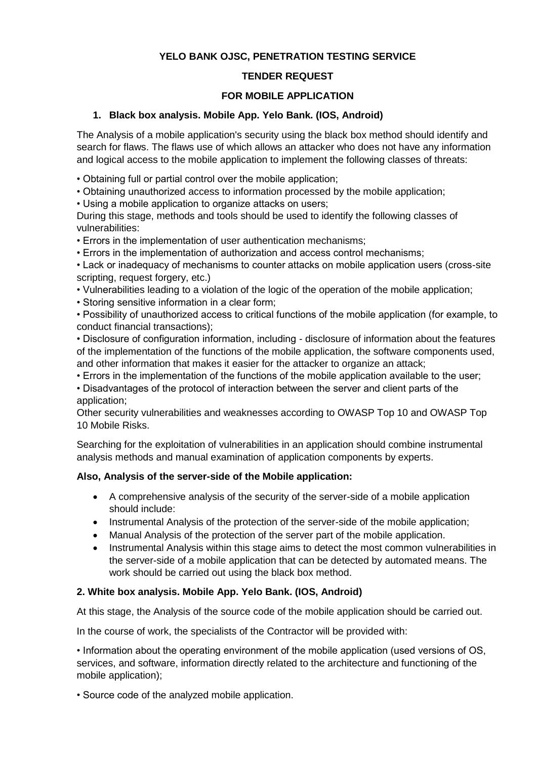# **YELO BANK OJSC, PENETRATION TESTING SERVICE**

### **TENDER REQUEST**

# **FOR MOBILE APPLICATION**

### **1. Black box analysis. Mobile App. Yelo Bank. (IOS, Android)**

The Analysis of a mobile application's security using the black box method should identify and search for flaws. The flaws use of which allows an attacker who does not have any information and logical access to the mobile application to implement the following classes of threats:

• Obtaining full or partial control over the mobile application;

• Obtaining unauthorized access to information processed by the mobile application;

• Using a mobile application to organize attacks on users;

During this stage, methods and tools should be used to identify the following classes of vulnerabilities:

• Errors in the implementation of user authentication mechanisms;

• Errors in the implementation of authorization and access control mechanisms;

• Lack or inadequacy of mechanisms to counter attacks on mobile application users (cross-site scripting, request forgery, etc.)

• Vulnerabilities leading to a violation of the logic of the operation of the mobile application;

• Storing sensitive information in a clear form;

• Possibility of unauthorized access to critical functions of the mobile application (for example, to conduct financial transactions);

• Disclosure of configuration information, including - disclosure of information about the features of the implementation of the functions of the mobile application, the software components used, and other information that makes it easier for the attacker to organize an attack;

• Errors in the implementation of the functions of the mobile application available to the user;

• Disadvantages of the protocol of interaction between the server and client parts of the application;

Other security vulnerabilities and weaknesses according to OWASP Top 10 and OWASP Top 10 Mobile Risks.

Searching for the exploitation of vulnerabilities in an application should combine instrumental analysis methods and manual examination of application components by experts.

#### **Also, Analysis of the server-side of the Mobile application:**

- A comprehensive analysis of the security of the server-side of a mobile application should include:
- Instrumental Analysis of the protection of the server-side of the mobile application;
- Manual Analysis of the protection of the server part of the mobile application.
- Instrumental Analysis within this stage aims to detect the most common vulnerabilities in the server-side of a mobile application that can be detected by automated means. The work should be carried out using the black box method.

# **2. White box analysis. Mobile App. Yelo Bank. (IOS, Android)**

At this stage, the Analysis of the source code of the mobile application should be carried out.

In the course of work, the specialists of the Contractor will be provided with:

• Information about the operating environment of the mobile application (used versions of OS, services, and software, information directly related to the architecture and functioning of the mobile application);

• Source code of the analyzed mobile application.